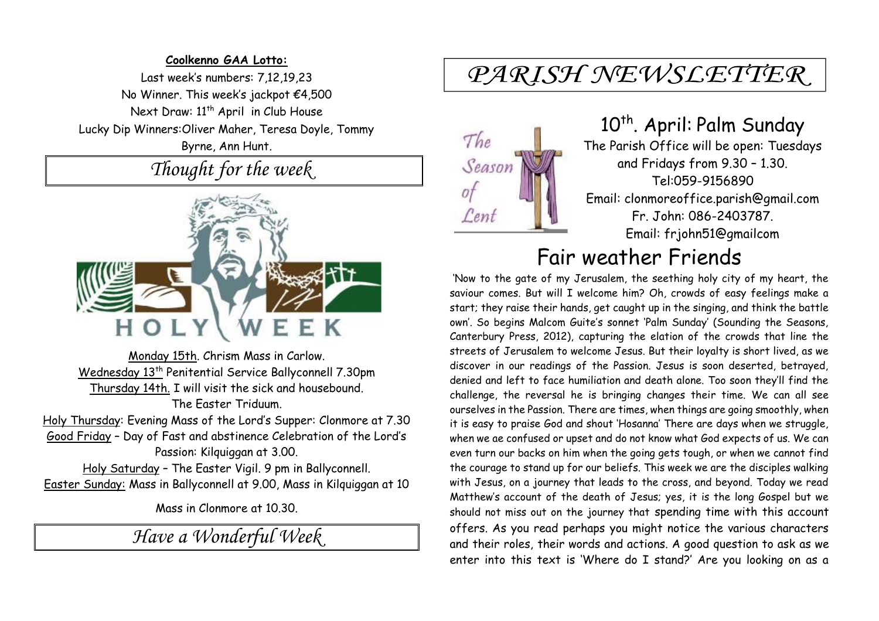### **Coolkenno GAA Lotto:**

Last week's numbers: 7,12,19,23 No Winner. This week's jackpot €4,500 Next Draw: 11<sup>th</sup> April in Club House Lucky Dip Winners:Oliver Maher, Teresa Doyle, Tommy Byrne, Ann Hunt.

*Thought for the week*



Monday 15th. Chrism Mass in Carlow. Wednesday 13<sup>th</sup> Penitential Service Ballyconnell 7.30pm Thursday 14th. I will visit the sick and housebound. The Easter Triduum.

Holy Thursday: Evening Mass of the Lord's Supper: Clonmore at 7.30 Good Friday – Day of Fast and abstinence Celebration of the Lord's Passion: Kilquiggan at 3.00.

Holy Saturday – The Easter Vigil. 9 pm in Ballyconnell. Easter Sunday: Mass in Ballyconnell at 9.00, Mass in Kilquiggan at 10

Mass in Clonmore at 10.30.

*Have a Wonderful Week* 

## PARISH NEWSLETTER



# 10<sup>th</sup>. April: Palm Sunday

The Parish Office will be open: Tuesdays and Fridays from 9.30 – 1.30. Tel:059-9156890 Email: clonmoreoffice.parish@gmail.com Fr. John: 086-2403787. Email: frjohn51@gmailcom

### Fair weather Friends

'Now to the gate of my Jerusalem, the seething holy city of my heart, the saviour comes. But will I welcome him? Oh, crowds of easy feelings make a start; they raise their hands, get caught up in the singing, and think the battle own'. So begins Malcom Guite's sonnet 'Palm Sunday' (Sounding the Seasons, Canterbury Press, 2012), capturing the elation of the crowds that line the streets of Jerusalem to welcome Jesus. But their loyalty is short lived, as we discover in our readings of the Passion. Jesus is soon deserted, betrayed, denied and left to face humiliation and death alone. Too soon they'll find the challenge, the reversal he is bringing changes their time. We can all see ourselves in the Passion. There are times, when things are going smoothly, when it is easy to praise God and shout 'Hosanna' There are days when we struggle, when we ae confused or upset and do not know what God expects of us. We can even turn our backs on him when the going gets tough, or when we cannot find the courage to stand up for our beliefs. This week we are the disciples walking with Jesus, on a journey that leads to the cross, and beyond. Today we read Matthew's account of the death of Jesus; yes, it is the long Gospel but we should not miss out on the journey that spending time with this account offers. As you read perhaps you might notice the various characters and their roles, their words and actions. A good question to ask as we enter into this text is 'Where do I stand?' Are you looking on as a